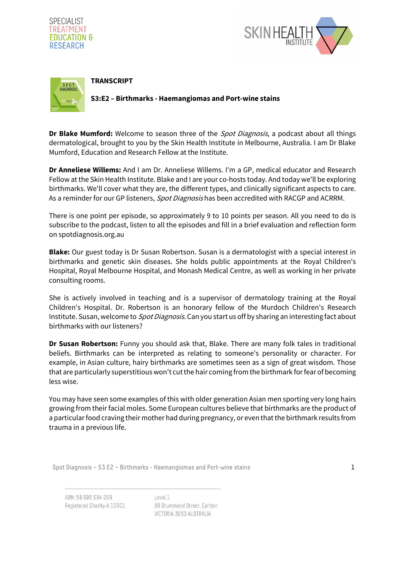





**Dr Blake Mumford:** Welcome to season three of the Spot Diagnosis, a podcast about all things dermatological, brought to you by the Skin Health Institute in Melbourne, Australia. I am Dr Blake Mumford, Education and Research Fellow at the Institute.

**Dr Anneliese Willems:** And I am Dr. Anneliese Willems. I'm a GP, medical educator and Research Fellow at the Skin Health Institute. Blake and I are your co-hosts today. And today we'll be exploring birthmarks. We'll cover what they are, the different types, and clinically significant aspects to care. As a reminder for our GP listeners, Spot Diagnosis has been accredited with RACGP and ACRRM.

There is one point per episode, so approximately 9 to 10 points per season. All you need to do is subscribe to the podcast, listen to all the episodes and fill in a brief evaluation and reflection form on spotdiagnosis.org.au

**Blake:** Our guest today is Dr Susan Robertson. Susan is a dermatologist with a special interest in birthmarks and genetic skin diseases. She holds public appointments at the Royal Children's Hospital, Royal Melbourne Hospital, and Monash Medical Centre, as well as working in her private consulting rooms.

She is actively involved in teaching and is a supervisor of dermatology training at the Royal Children's Hospital. Dr. Robertson is an honorary fellow of the Murdoch Children's Research Institute. Susan, welcome to *Spot Diagnosis*. Can you start us off by sharing an interesting fact about birthmarks with our listeners?

**Dr Susan Robertson:** Funny you should ask that, Blake. There are many folk tales in traditional beliefs. Birthmarks can be interpreted as relating to someone's personality or character. For example, in Asian culture, hairy birthmarks are sometimes seen as a sign of great wisdom. Those that are particularly superstitious won't cut the hair coming from the birthmark for fear of becoming less wise.

You may have seen some examples of this with older generation Asian men sporting very long hairs growing from their facial moles. Some European cultures believe that birthmarks are the product of a particular food craving their mother had during pregnancy, or even that the birthmark results from trauma in a previous life.

Spot Diagnosis – S3.E2 – Birthmarks - Haemangiomas and Port-wine stains  $1$ 

ABN: 58 895 584 259 Registered Charity A 12501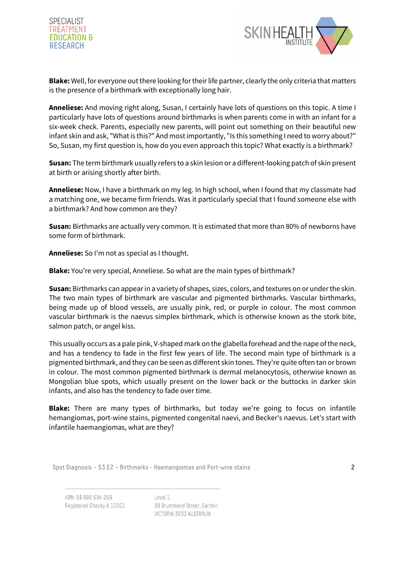



**Blake:** Well, for everyone out there looking for their life partner, clearly the only criteria that matters is the presence of a birthmark with exceptionally long hair.

**Anneliese:** And moving right along, Susan, I certainly have lots of questions on this topic. A time I particularly have lots of questions around birthmarks is when parents come in with an infant for a six-week check. Parents, especially new parents, will point out something on their beautiful new infant skin and ask, "What is this?" And most importantly, "Is this something I need to worry about?" So, Susan, my first question is, how do you even approach this topic? What exactly is a birthmark?

**Susan:** The term birthmark usually refers to a skin lesion or a different-looking patch of skin present at birth or arising shortly after birth.

**Anneliese:** Now, I have a birthmark on my leg. In high school, when I found that my classmate had a matching one, we became firm friends. Was it particularly special that I found someone else with a birthmark? And how common are they?

**Susan:** Birthmarks are actually very common. It is estimated that more than 80% of newborns have some form of birthmark.

**Anneliese:** So I'm not as special as I thought.

**Blake:** You're very special, Anneliese. So what are the main types of birthmark?

**Susan:** Birthmarks can appear in a variety of shapes, sizes, colors, and textures on or under the skin. The two main types of birthmark are vascular and pigmented birthmarks. Vascular birthmarks, being made up of blood vessels, are usually pink, red, or purple in colour. The most common vascular birthmark is the naevus simplex birthmark, which is otherwise known as the stork bite, salmon patch, or angel kiss.

This usually occurs as a pale pink, V-shaped mark on the glabella forehead and the nape of the neck, and has a tendency to fade in the first few years of life. The second main type of birthmark is a pigmented birthmark, and they can be seen as different skin tones. They're quite often tan or brown in colour. The most common pigmented birthmark is dermal melanocytosis, otherwise known as Mongolian blue spots, which usually present on the lower back or the buttocks in darker skin infants, and also has the tendency to fade over time.

**Blake:** There are many types of birthmarks, but today we're going to focus on infantile hemangiomas, port-wine stains, pigmented congenital naevi, and Becker's naevus. Let's start with infantile haemangiomas, what are they?

Spot Diagnosis – S3.E2 – Birthmarks - Haemangiomas and Port-wine stains 2

ABN: 58 895 584 259 Registered Charity A 12501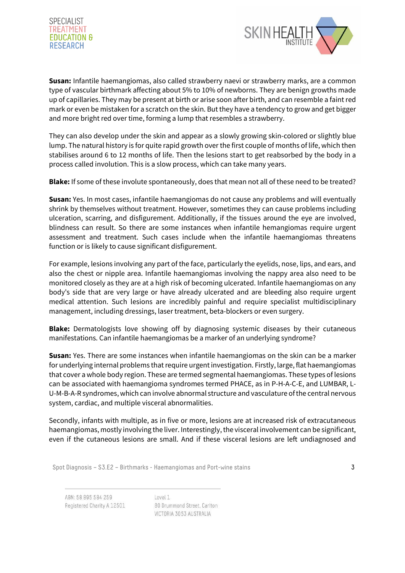



**Susan:** Infantile haemangiomas, also called strawberry naevi or strawberry marks, are a common type of vascular birthmark affecting about 5% to 10% of newborns. They are benign growths made up of capillaries. They may be present at birth or arise soon after birth, and can resemble a faint red mark or even be mistaken for a scratch on the skin. But they have a tendency to grow and get bigger and more bright red over time, forming a lump that resembles a strawberry.

They can also develop under the skin and appear as a slowly growing skin-colored or slightly blue lump. The natural history is for quite rapid growth over the first couple of months of life, which then stabilises around 6 to 12 months of life. Then the lesions start to get reabsorbed by the body in a process called involution. This is a slow process, which can take many years.

**Blake:** If some of these involute spontaneously, does that mean not all of these need to be treated?

**Susan:** Yes. In most cases, infantile haemangiomas do not cause any problems and will eventually shrink by themselves without treatment. However, sometimes they can cause problems including ulceration, scarring, and disfigurement. Additionally, if the tissues around the eye are involved, blindness can result. So there are some instances when infantile hemangiomas require urgent assessment and treatment. Such cases include when the infantile haemangiomas threatens function or is likely to cause significant disfigurement.

For example, lesions involving any part of the face, particularly the eyelids, nose, lips, and ears, and also the chest or nipple area. Infantile haemangiomas involving the nappy area also need to be monitored closely as they are at a high risk of becoming ulcerated. Infantile haemangiomas on any body's side that are very large or have already ulcerated and are bleeding also require urgent medical attention. Such lesions are incredibly painful and require specialist multidisciplinary management, including dressings, laser treatment, beta-blockers or even surgery.

**Blake:** Dermatologists love showing off by diagnosing systemic diseases by their cutaneous manifestations. Can infantile haemangiomas be a marker of an underlying syndrome?

**Susan:** Yes. There are some instances when infantile haemangiomas on the skin can be a marker for underlying internal problems that require urgent investigation. Firstly, large, flat haemangiomas that cover a whole body region. These are termed segmental haemangiomas. These types of lesions can be associated with haemangioma syndromes termed PHACE, as in P-H-A-C-E, and LUMBAR, L-U-M-B-A-R syndromes, which can involve abnormal structure and vasculature of the central nervous system, cardiac, and multiple visceral abnormalities.

Secondly, infants with multiple, as in five or more, lesions are at increased risk of extracutaneous haemangiomas, mostly involving the liver. Interestingly, the visceral involvement can be significant, even if the cutaneous lesions are small. And if these visceral lesions are left undiagnosed and

Spot Diagnosis –  $S3.E2 - Birthmarks - Haemangiomas and Port-wine stains$ 

ABN: 58 895 584 259 Registered Charity A 12501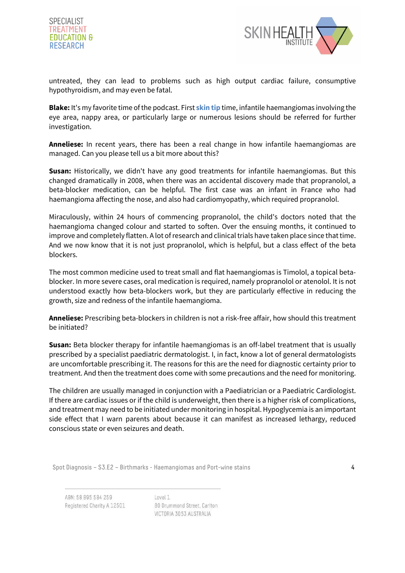



untreated, they can lead to problems such as high output cardiac failure, consumptive hypothyroidism, and may even be fatal.

**Blake:** It's my favorite time of the podcast. First **skin tip** time, infantile haemangiomas involving the eye area, nappy area, or particularly large or numerous lesions should be referred for further investigation.

**Anneliese:** In recent years, there has been a real change in how infantile haemangiomas are managed. Can you please tell us a bit more about this?

**Susan:** Historically, we didn't have any good treatments for infantile haemangiomas. But this changed dramatically in 2008, when there was an accidental discovery made that propranolol, a beta-blocker medication, can be helpful. The first case was an infant in France who had haemangioma affecting the nose, and also had cardiomyopathy, which required propranolol.

Miraculously, within 24 hours of commencing propranolol, the child's doctors noted that the haemangioma changed colour and started to soften. Over the ensuing months, it continued to improve and completely flatten. A lot of research and clinical trials have taken place since that time. And we now know that it is not just propranolol, which is helpful, but a class effect of the beta blockers.

The most common medicine used to treat small and flat haemangiomas is Timolol, a topical betablocker. In more severe cases, oral medication is required, namely propranolol or atenolol. It is not understood exactly how beta-blockers work, but they are particularly effective in reducing the growth, size and redness of the infantile haemangioma.

**Anneliese:** Prescribing beta-blockers in children is not a risk-free affair, how should this treatment be initiated?

**Susan:** Beta blocker therapy for infantile haemangiomas is an off-label treatment that is usually prescribed by a specialist paediatric dermatologist. I, in fact, know a lot of general dermatologists are uncomfortable prescribing it. The reasons for this are the need for diagnostic certainty prior to treatment. And then the treatment does come with some precautions and the need for monitoring.

The children are usually managed in conjunction with a Paediatrician or a Paediatric Cardiologist. If there are cardiac issues or if the child is underweight, then there is a higher risk of complications, and treatment may need to be initiated under monitoring in hospital. Hypoglycemia is an important side effect that I warn parents about because it can manifest as increased lethargy, reduced conscious state or even seizures and death.

Spot Diagnosis – S3.E2 – Birthmarks - Haemangiomas and Port-wine stains 4

ABN: 58 895 584 259 Registered Charity A 12501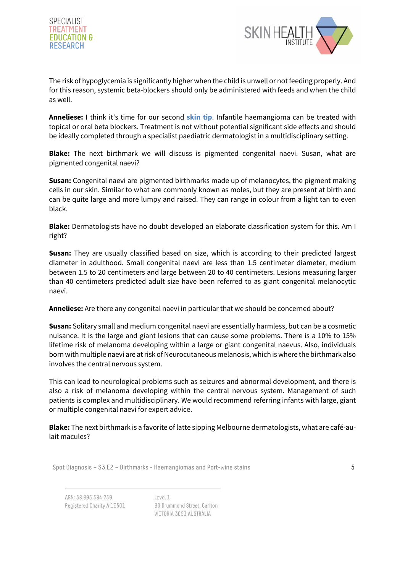



The risk of hypoglycemia is significantly higher when the child is unwell or not feeding properly. And for this reason, systemic beta-blockers should only be administered with feeds and when the child as well.

**Anneliese:** I think it's time for our second **skin tip**. Infantile haemangioma can be treated with topical or oral beta blockers. Treatment is not without potential significant side effects and should be ideally completed through a specialist paediatric dermatologist in a multidisciplinary setting.

**Blake:** The next birthmark we will discuss is pigmented congenital naevi. Susan, what are pigmented congenital naevi?

**Susan:** Congenital naevi are pigmented birthmarks made up of melanocytes, the pigment making cells in our skin. Similar to what are commonly known as moles, but they are present at birth and can be quite large and more lumpy and raised. They can range in colour from a light tan to even black.

**Blake:** Dermatologists have no doubt developed an elaborate classification system for this. Am I right?

**Susan:** They are usually classified based on size, which is according to their predicted largest diameter in adulthood. Small congenital naevi are less than 1.5 centimeter diameter, medium between 1.5 to 20 centimeters and large between 20 to 40 centimeters. Lesions measuring larger than 40 centimeters predicted adult size have been referred to as giant congenital melanocytic naevi.

**Anneliese:** Are there any congenital naevi in particular that we should be concerned about?

**Susan:** Solitary small and medium congenital naevi are essentially harmless, but can be a cosmetic nuisance. It is the large and giant lesions that can cause some problems. There is a 10% to 15% lifetime risk of melanoma developing within a large or giant congenital naevus. Also, individuals born with multiple naevi are at risk of Neurocutaneous melanosis, which is where the birthmark also involves the central nervous system.

This can lead to neurological problems such as seizures and abnormal development, and there is also a risk of melanoma developing within the central nervous system. Management of such patients is complex and multidisciplinary. We would recommend referring infants with large, giant or multiple congenital naevi for expert advice.

**Blake:** The next birthmark is a favorite of latte sipping Melbourne dermatologists, what are café-aulait macules?

Spot Diagnosis –  $S3.E2$  – Birthmarks - Haemangiomas and Port-wine stains  $5$ 

ABN: 58 895 584 259 Registered Charity A 12501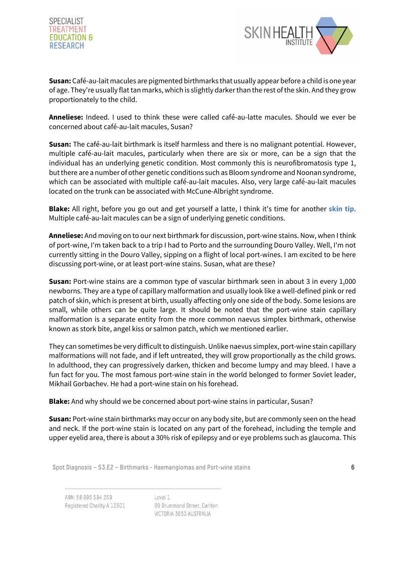



**Susan:** Café-au-lait macules are pigmented birthmarks that usually appear before a child is one year of age. They're usually flat tan marks, which is slightly darker than the rest of the skin. And they grow proportionately to the child.

**Anneliese:** Indeed. I used to think these were called café-au-latte macules. Should we ever be concerned about café-au-lait macules, Susan?

**Susan:** The café-au-lait birthmark is itself harmless and there is no malignant potential. However, multiple café-au-lait macules, particularly when there are six or more, can be a sign that the individual has an underlying genetic condition. Most commonly this is neurofibromatosis type 1, but there are a number of other genetic conditions such as Bloom syndrome and Noonan syndrome, which can be associated with multiple café-au-lait macules. Also, very large café-au-lait macules located on the trunk can be associated with McCune-Albright syndrome.

**Blake:** All right, before you go out and get yourself a latte, I think it's time for another **skin tip**. Multiple café-au-lait macules can be a sign of underlying genetic conditions.

**Anneliese:** And moving on to our next birthmark for discussion, port-wine stains. Now, when I think of port-wine, I'm taken back to a trip I had to Porto and the surrounding Douro Valley. Well, I'm not currently sitting in the Douro Valley, sipping on a flight of local port-wines. I am excited to be here discussing port-wine, or at least port-wine stains. Susan, what are these?

**Susan:** Port-wine stains are a common type of vascular birthmark seen in about 3 in every 1,000 newborns. They are a type of capillary malformation and usually look like a well-defined pink or red patch of skin, which is present at birth, usually affecting only one side of the body. Some lesions are small, while others can be quite large. It should be noted that the port-wine stain capillary malformation is a separate entity from the more common naevus simplex birthmark, otherwise known as stork bite, angel kiss or salmon patch, which we mentioned earlier.

They can sometimes be very difficult to distinguish. Unlike naevus simplex, port-wine stain capillary malformations will not fade, and if left untreated, they will grow proportionally as the child grows. In adulthood, they can progressively darken, thicken and become lumpy and may bleed. I have a fun fact for you. The most famous port-wine stain in the world belonged to former Soviet leader, Mikhail Gorbachev. He had a port-wine stain on his forehead.

**Blake:** And why should we be concerned about port-wine stains in particular, Susan?

**Susan:** Port-wine stain birthmarks may occur on any body site, but are commonly seen on the head and neck. If the port-wine stain is located on any part of the forehead, including the temple and upper eyelid area, there is about a 30% risk of epilepsy and or eye problems such as glaucoma. This

Spot Diagnosis – S3.E2 – Birthmarks - Haemangiomas and Port-wine stains  $\overline{6}$ 

ABN: 58 895 584 259 Registered Charity A 12501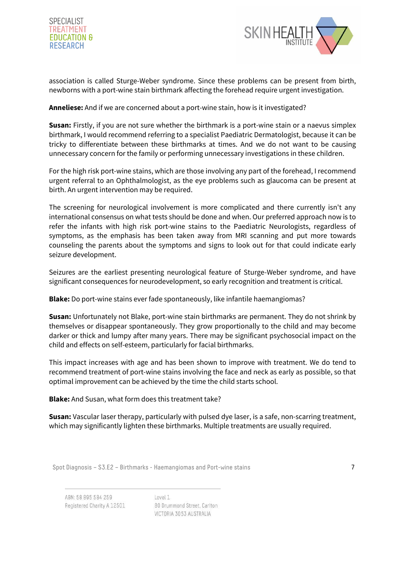



association is called Sturge-Weber syndrome. Since these problems can be present from birth, newborns with a port-wine stain birthmark affecting the forehead require urgent investigation.

## **Anneliese:** And if we are concerned about a port-wine stain, how is it investigated?

**Susan:** Firstly, if you are not sure whether the birthmark is a port-wine stain or a naevus simplex birthmark, I would recommend referring to a specialist Paediatric Dermatologist, because it can be tricky to differentiate between these birthmarks at times. And we do not want to be causing unnecessary concern for the family or performing unnecessary investigations in these children.

For the high risk port-wine stains, which are those involving any part of the forehead, I recommend urgent referral to an Ophthalmologist, as the eye problems such as glaucoma can be present at birth. An urgent intervention may be required.

The screening for neurological involvement is more complicated and there currently isn't any international consensus on what tests should be done and when. Our preferred approach now is to refer the infants with high risk port-wine stains to the Paediatric Neurologists, regardless of symptoms, as the emphasis has been taken away from MRI scanning and put more towards counseling the parents about the symptoms and signs to look out for that could indicate early seizure development.

Seizures are the earliest presenting neurological feature of Sturge-Weber syndrome, and have significant consequences for neurodevelopment, so early recognition and treatment is critical.

**Blake:** Do port-wine stains ever fade spontaneously, like infantile haemangiomas?

**Susan:** Unfortunately not Blake, port-wine stain birthmarks are permanent. They do not shrink by themselves or disappear spontaneously. They grow proportionally to the child and may become darker or thick and lumpy after many years. There may be significant psychosocial impact on the child and effects on self-esteem, particularly for facial birthmarks.

This impact increases with age and has been shown to improve with treatment. We do tend to recommend treatment of port-wine stains involving the face and neck as early as possible, so that optimal improvement can be achieved by the time the child starts school.

**Blake:** And Susan, what form does this treatment take?

**Susan:** Vascular laser therapy, particularly with pulsed dye laser, is a safe, non-scarring treatment, which may significantly lighten these birthmarks. Multiple treatments are usually required.

Spot Diagnosis – S3.E2 – Birthmarks - Haemangiomas and Port-wine stains 7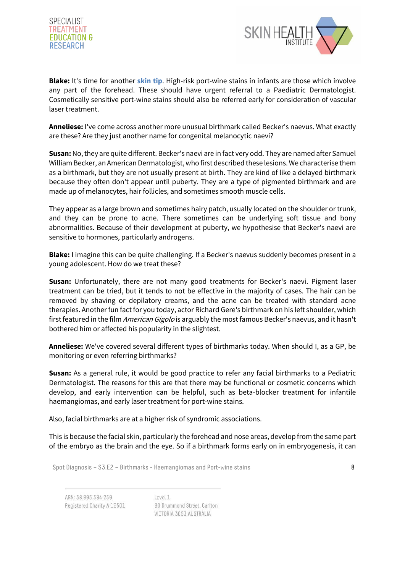



**Blake:** It's time for another **skin tip**. High-risk port-wine stains in infants are those which involve any part of the forehead. These should have urgent referral to a Paediatric Dermatologist. Cosmetically sensitive port-wine stains should also be referred early for consideration of vascular laser treatment.

**Anneliese:** I've come across another more unusual birthmark called Becker's naevus. What exactly are these? Are they just another name for congenital melanocytic naevi?

**Susan:** No, they are quite different. Becker's naevi are in fact very odd. They are named after Samuel William Becker, an American Dermatologist, who first described these lesions. We characterise them as a birthmark, but they are not usually present at birth. They are kind of like a delayed birthmark because they often don't appear until puberty. They are a type of pigmented birthmark and are made up of melanocytes, hair follicles, and sometimes smooth muscle cells.

They appear as a large brown and sometimes hairy patch, usually located on the shoulder or trunk, and they can be prone to acne. There sometimes can be underlying soft tissue and bony abnormalities. Because of their development at puberty, we hypothesise that Becker's naevi are sensitive to hormones, particularly androgens.

**Blake:** I imagine this can be quite challenging. If a Becker's naevus suddenly becomes present in a young adolescent. How do we treat these?

**Susan:** Unfortunately, there are not many good treatments for Becker's naevi. Pigment laser treatment can be tried, but it tends to not be effective in the majority of cases. The hair can be removed by shaving or depilatory creams, and the acne can be treated with standard acne therapies. Another fun fact for you today, actor Richard Gere's birthmark on his left shoulder, which first featured in the film American Gigolo is arguably the most famous Becker's naevus, and it hasn't bothered him or affected his popularity in the slightest.

**Anneliese:** We've covered several different types of birthmarks today. When should I, as a GP, be monitoring or even referring birthmarks?

**Susan:** As a general rule, it would be good practice to refer any facial birthmarks to a Pediatric Dermatologist. The reasons for this are that there may be functional or cosmetic concerns which develop, and early intervention can be helpful, such as beta-blocker treatment for infantile haemangiomas, and early laser treatment for port-wine stains.

Also, facial birthmarks are at a higher risk of syndromic associations.

This is because the facial skin, particularly the forehead and nose areas, develop from the same part of the embryo as the brain and the eye. So if a birthmark forms early on in embryogenesis, it can

Spot Diagnosis –  $S3.E2 - Birthmarks - Haemangiomas and Port-wine stains$ 

ABN: 58 895 584 259 Registered Charity A 12501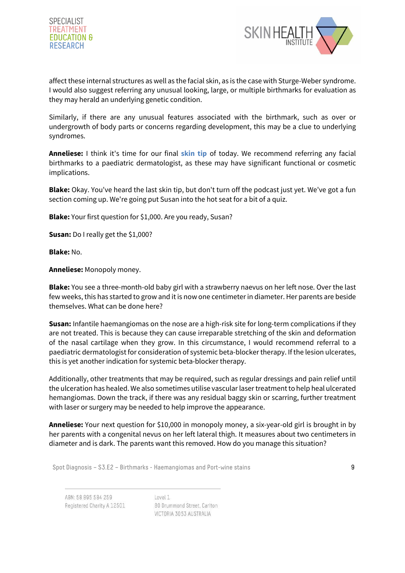



affect these internal structures as well as the facial skin, as is the case with Sturge-Weber syndrome. I would also suggest referring any unusual looking, large, or multiple birthmarks for evaluation as they may herald an underlying genetic condition.

Similarly, if there are any unusual features associated with the birthmark, such as over or undergrowth of body parts or concerns regarding development, this may be a clue to underlying syndromes.

**Anneliese:** I think it's time for our final **skin tip** of today. We recommend referring any facial birthmarks to a paediatric dermatologist, as these may have significant functional or cosmetic implications.

**Blake:** Okay. You've heard the last skin tip, but don't turn off the podcast just yet. We've got a fun section coming up. We're going put Susan into the hot seat for a bit of a quiz.

**Blake:** Your first question for \$1,000. Are you ready, Susan?

**Susan:** Do I really get the \$1,000?

**Blake:** No.

**Anneliese:** Monopoly money.

**Blake:** You see a three-month-old baby girl with a strawberry naevus on her left nose. Over the last few weeks, this has started to grow and it is now one centimeter in diameter. Her parents are beside themselves. What can be done here?

**Susan:** Infantile haemangiomas on the nose are a high-risk site for long-term complications if they are not treated. This is because they can cause irreparable stretching of the skin and deformation of the nasal cartilage when they grow. In this circumstance, I would recommend referral to a paediatric dermatologist for consideration of systemic beta-blocker therapy. If the lesion ulcerates, this is yet another indication for systemic beta-blocker therapy.

Additionally, other treatments that may be required, such as regular dressings and pain relief until the ulceration has healed. We also sometimes utilise vascular laser treatment to help heal ulcerated hemangiomas. Down the track, if there was any residual baggy skin or scarring, further treatment with laser or surgery may be needed to help improve the appearance.

**Anneliese:** Your next question for \$10,000 in monopoly money, a six-year-old girl is brought in by her parents with a congenital nevus on her left lateral thigh. It measures about two centimeters in diameter and is dark. The parents want this removed. How do you manage this situation?

Spot Diagnosis – S3.E2 – Birthmarks - Haemangiomas and Port-wine stains 9

ABN: 58 895 584 259 Registered Charity A 12501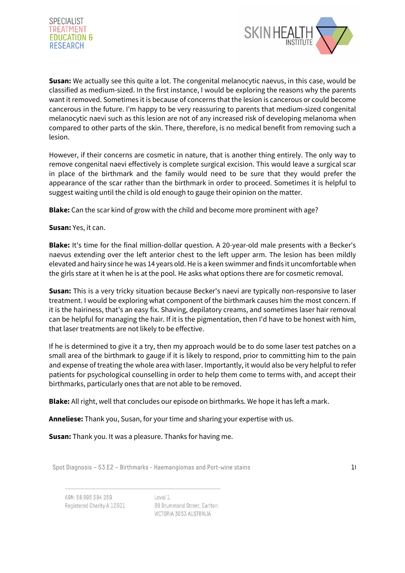



**Susan:** We actually see this quite a lot. The congenital melanocytic naevus, in this case, would be classified as medium-sized. In the first instance, I would be exploring the reasons why the parents want it removed. Sometimes it is because of concerns that the lesion is cancerous or could become cancerous in the future. I'm happy to be very reassuring to parents that medium-sized congenital melanocytic naevi such as this lesion are not of any increased risk of developing melanoma when compared to other parts of the skin. There, therefore, is no medical benefit from removing such a lesion.

However, if their concerns are cosmetic in nature, that is another thing entirely. The only way to remove congenital naevi effectively is complete surgical excision. This would leave a surgical scar in place of the birthmark and the family would need to be sure that they would prefer the appearance of the scar rather than the birthmark in order to proceed. Sometimes it is helpful to suggest waiting until the child is old enough to gauge their opinion on the matter.

**Blake:** Can the scar kind of grow with the child and become more prominent with age?

## **Susan:** Yes, it can.

**Blake:** It's time for the final million-dollar question. A 20-year-old male presents with a Becker's naevus extending over the left anterior chest to the left upper arm. The lesion has been mildly elevated and hairy since he was 14 years old. He is a keen swimmer and finds it uncomfortable when the girls stare at it when he is at the pool. He asks what options there are for cosmetic removal.

**Susan:** This is a very tricky situation because Becker's naevi are typically non-responsive to laser treatment. I would be exploring what component of the birthmark causes him the most concern. If it is the hairiness, that's an easy fix. Shaving, depilatory creams, and sometimes laser hair removal can be helpful for managing the hair. If it is the pigmentation, then I'd have to be honest with him, that laser treatments are not likely to be effective.

If he is determined to give it a try, then my approach would be to do some laser test patches on a small area of the birthmark to gauge if it is likely to respond, prior to committing him to the pain and expense of treating the whole area with laser. Importantly, it would also be very helpful to refer patients for psychological counselling in order to help them come to terms with, and accept their birthmarks, particularly ones that are not able to be removed.

**Blake:** All right, well that concludes our episode on birthmarks. We hope it has left a mark.

**Anneliese:** Thank you, Susan, for your time and sharing your expertise with us.

**Susan:** Thank you. It was a pleasure. Thanks for having me.

Spot Diagnosis – S3.E2 – Birthmarks - Haemangiomas and Port-wine stains 10

ABN: 58 895 584 259 Registered Charity A 12501